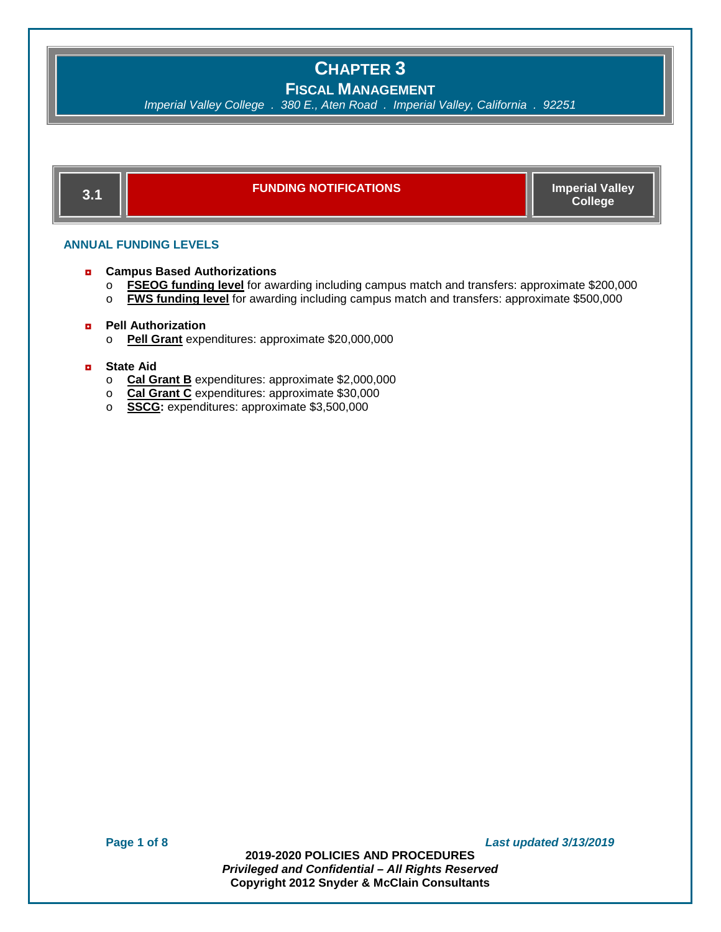**FISCAL MANAGEMENT**

*Imperial Valley College . 380 E., Aten Road . Imperial Valley, California . 92251*



#### **ANNUAL FUNDING LEVELS**

- ◘ **Campus Based Authorizations** 
	- o **FSEOG funding level** for awarding including campus match and transfers: approximate \$200,000<br>○ **FWS funding level** for awarding including campus match and transfers: approximate \$500,000
	- **FWS funding level** for awarding including campus match and transfers: approximate \$500,000

#### ◘ **Pell Authorization**

o **Pell Grant** expenditures: approximate \$20,000,000

#### ◘ **State Aid**

- o **Cal Grant B** expenditures: approximate \$2,000,000
- o **Cal Grant C** expenditures: approximate \$30,000
- o **SSCG:** expenditures: approximate \$3,500,000

**Page 1 of 8** *Last updated 3/13/2019*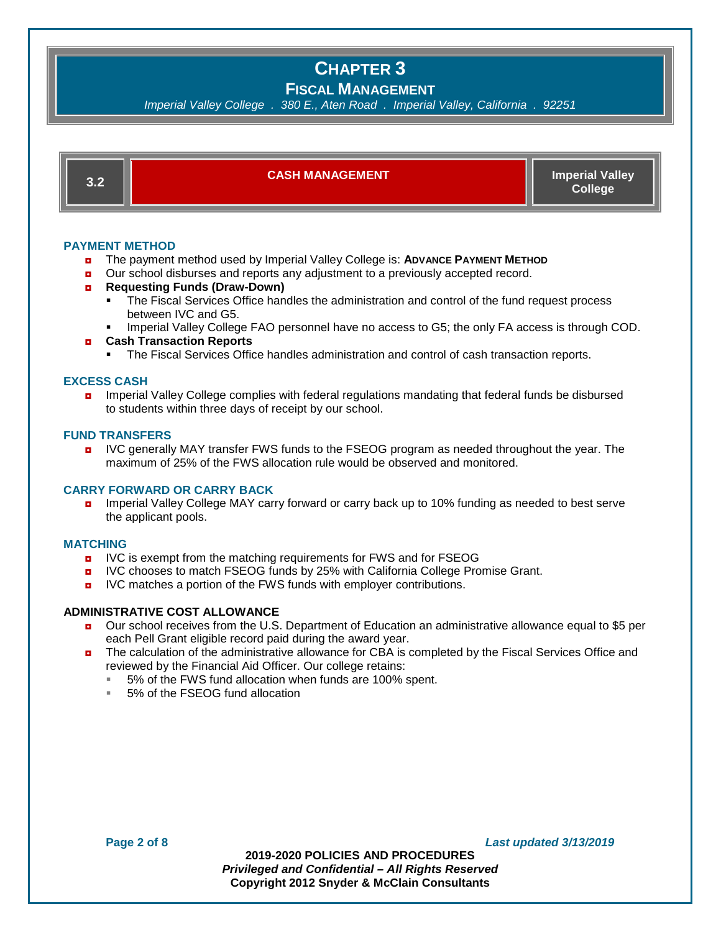#### **FISCAL MANAGEMENT**

*Imperial Valley College . 380 E., Aten Road . Imperial Valley, California . 92251*



#### **PAYMENT METHOD**

- ◘ The payment method used by Imperial Valley College is: **ADVANCE PAYMENT METHOD**
- ◘ Our school disburses and reports any adjustment to a previously accepted record.
- ◘ **Requesting Funds (Draw-Down)**
	- The Fiscal Services Office handles the administration and control of the fund request process between IVC and G5.
	- Imperial Valley College FAO personnel have no access to G5; the only FA access is through COD.
- ◘ **Cash Transaction Reports**
	- The Fiscal Services Office handles administration and control of cash transaction reports.

#### **EXCESS CASH**

**n** Imperial Valley College complies with federal regulations mandating that federal funds be disbursed to students within three days of receipt by our school.

#### **FUND TRANSFERS**

**D** IVC generally MAY transfer FWS funds to the FSEOG program as needed throughout the year. The maximum of 25% of the FWS allocation rule would be observed and monitored.

#### **CARRY FORWARD OR CARRY BACK**

**n** Imperial Valley College MAY carry forward or carry back up to 10% funding as needed to best serve the applicant pools.

#### **MATCHING**

- **D** IVC is exempt from the matching requirements for FWS and for FSEOG
- **D** IVC chooses to match FSEOG funds by 25% with California College Promise Grant.
- **D** IVC matches a portion of the FWS funds with employer contributions.

#### **ADMINISTRATIVE COST ALLOWANCE**

- ◘ Our school receives from the U.S. Department of Education an administrative allowance equal to \$5 per each Pell Grant eligible record paid during the award year.
- **n** The calculation of the administrative allowance for CBA is completed by the Fiscal Services Office and reviewed by the Financial Aid Officer. Our college retains:
	- 5% of the FWS fund allocation when funds are 100% spent.
	- 5% of the FSEOG fund allocation

**Page 2 of 8** *Last updated 3/13/2019*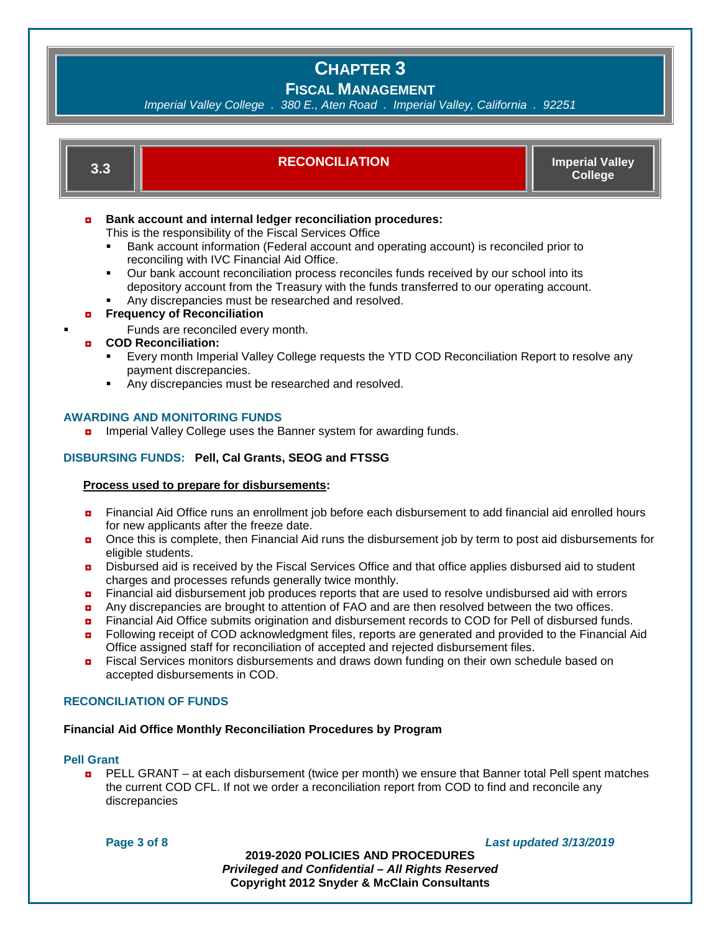### **FISCAL MANAGEMENT**

*Imperial Valley College . 380 E., Aten Road . Imperial Valley, California . 92251*



#### **DISBURSING FUNDS: Pell, Cal Grants, SEOG and FTSSG**

#### **Process used to prepare for disbursements:**

- ◘ Financial Aid Office runs an enrollment job before each disbursement to add financial aid enrolled hours for new applicants after the freeze date.
- Once this is complete, then Financial Aid runs the disbursement job by term to post aid disbursements for eligible students.
- **D** Disbursed aid is received by the Fiscal Services Office and that office applies disbursed aid to student charges and processes refunds generally twice monthly.
- **<u>n</u>** Financial aid disbursement job produces reports that are used to resolve undisbursed aid with errors
- a Any discrepancies are brought to attention of FAO and are then resolved between the two offices.
- **n** Financial Aid Office submits origination and disbursement records to COD for Pell of disbursed funds.
- ◘ Following receipt of COD acknowledgment files, reports are generated and provided to the Financial Aid Office assigned staff for reconciliation of accepted and rejected disbursement files.
- **<u>n</u>** Fiscal Services monitors disbursements and draws down funding on their own schedule based on accepted disbursements in COD.

#### **RECONCILIATION OF FUNDS**

#### **Financial Aid Office Monthly Reconciliation Procedures by Program**

#### **Pell Grant**

**p** PELL GRANT – at each disbursement (twice per month) we ensure that Banner total Pell spent matches the current COD CFL. If not we order a reconciliation report from COD to find and reconcile any discrepancies

**Page 3 of 8** *Last updated 3/13/2019*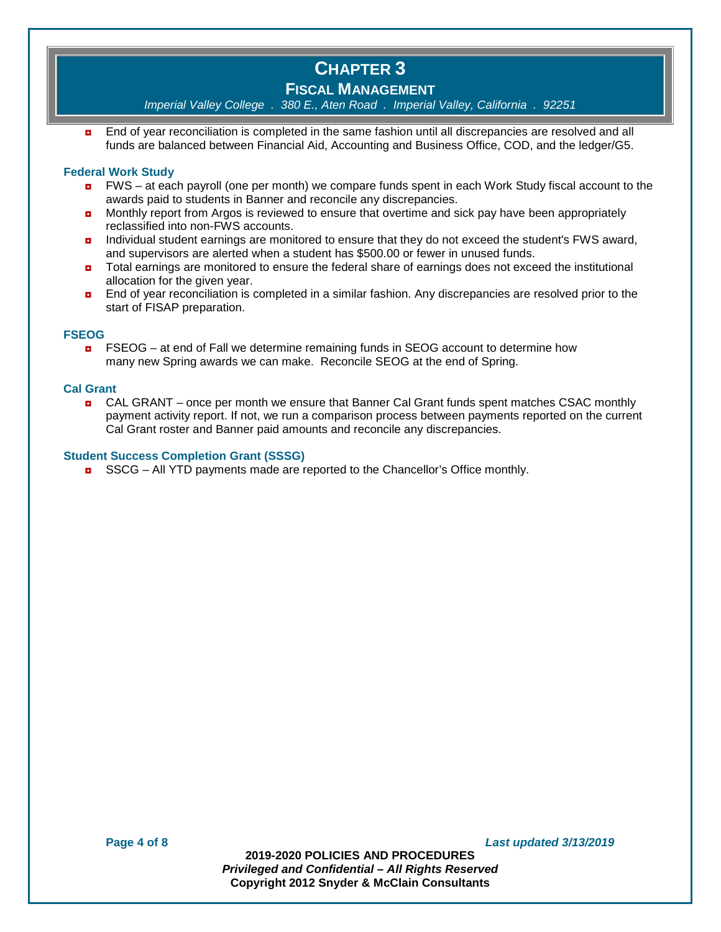## **FISCAL MANAGEMENT**

*Imperial Valley College . 380 E., Aten Road . Imperial Valley, California . 92251*

**n** End of year reconciliation is completed in the same fashion until all discrepancies are resolved and all funds are balanced between Financial Aid, Accounting and Business Office, COD, and the ledger/G5.

#### **Federal Work Study**

- $\blacksquare$  FWS at each payroll (one per month) we compare funds spent in each Work Study fiscal account to the awards paid to students in Banner and reconcile any discrepancies.
- **D** Monthly report from Argos is reviewed to ensure that overtime and sick pay have been appropriately reclassified into non-FWS accounts.
- **n** Individual student earnings are monitored to ensure that they do not exceed the student's FWS award, and supervisors are alerted when a student has \$500.00 or fewer in unused funds.
- **n** Total earnings are monitored to ensure the federal share of earnings does not exceed the institutional allocation for the given year.
- **n** End of year reconciliation is completed in a similar fashion. Any discrepancies are resolved prior to the start of FISAP preparation.

#### **FSEOG**

**n** FSEOG – at end of Fall we determine remaining funds in SEOG account to determine how many new Spring awards we can make. Reconcile SEOG at the end of Spring.

#### **Cal Grant**

◘ CAL GRANT – once per month we ensure that Banner Cal Grant funds spent matches CSAC monthly payment activity report. If not, we run a comparison process between payments reported on the current Cal Grant roster and Banner paid amounts and reconcile any discrepancies.

#### **Student Success Completion Grant (SSSG)**

 $\Box$  SSCG – All YTD payments made are reported to the Chancellor's Office monthly.

**Page 4 of 8** *Last updated 3/13/2019*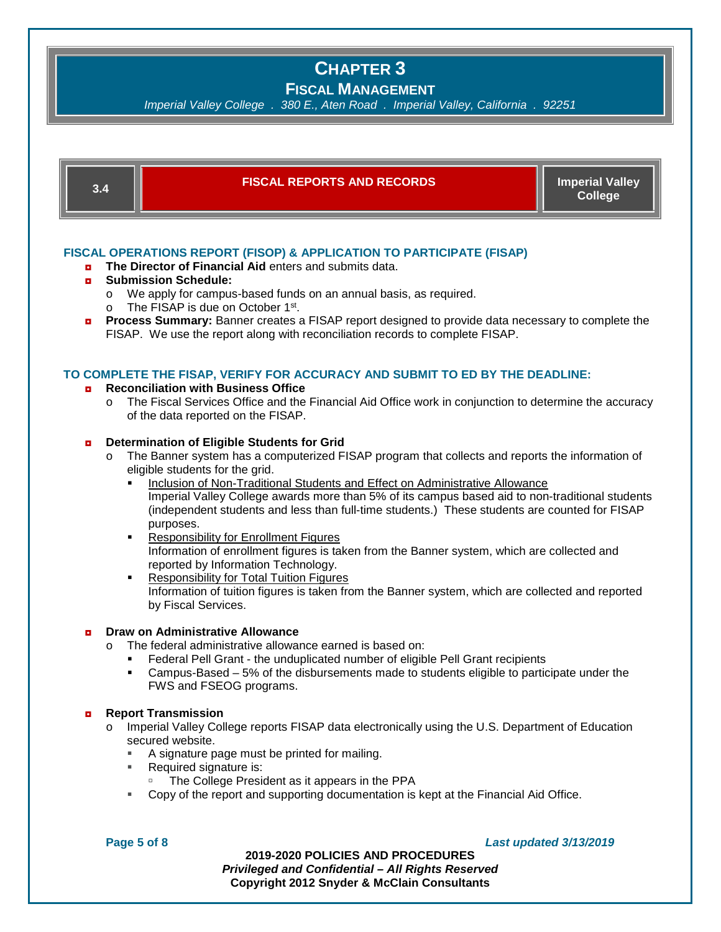## **FISCAL MANAGEMENT**

*Imperial Valley College . 380 E., Aten Road . Imperial Valley, California . 92251*

| 3.4                                                                                                                                                                                                                                                                                                                                                                                                                                                                                                               | <b>FISCAL REPORTS AND RECORDS</b>                                                                                                                                                                                                                                                                                                                                                                                                                                                                                                                                                                                                                                                                                                                                                                                                                                    | <b>Imperial Valley</b><br><b>College</b> |
|-------------------------------------------------------------------------------------------------------------------------------------------------------------------------------------------------------------------------------------------------------------------------------------------------------------------------------------------------------------------------------------------------------------------------------------------------------------------------------------------------------------------|----------------------------------------------------------------------------------------------------------------------------------------------------------------------------------------------------------------------------------------------------------------------------------------------------------------------------------------------------------------------------------------------------------------------------------------------------------------------------------------------------------------------------------------------------------------------------------------------------------------------------------------------------------------------------------------------------------------------------------------------------------------------------------------------------------------------------------------------------------------------|------------------------------------------|
| FISCAL OPERATIONS REPORT (FISOP) & APPLICATION TO PARTICIPATE (FISAP)<br>The Director of Financial Aid enters and submits data.<br>o.<br><b>Submission Schedule:</b><br>o<br>We apply for campus-based funds on an annual basis, as required.<br>$\circ$<br>The FISAP is due on October 1st.<br>$\circ$<br><b>Process Summary:</b> Banner creates a FISAP report designed to provide data necessary to complete the<br>$\bullet$<br>FISAP. We use the report along with reconciliation records to complete FISAP. |                                                                                                                                                                                                                                                                                                                                                                                                                                                                                                                                                                                                                                                                                                                                                                                                                                                                      |                                          |
| TO COMPLETE THE FISAP, VERIFY FOR ACCURACY AND SUBMIT TO ED BY THE DEADLINE:<br><b>Reconciliation with Business Office</b><br>o.<br>The Fiscal Services Office and the Financial Aid Office work in conjunction to determine the accuracy<br>$\circ$<br>of the data reported on the FISAP.                                                                                                                                                                                                                        |                                                                                                                                                                                                                                                                                                                                                                                                                                                                                                                                                                                                                                                                                                                                                                                                                                                                      |                                          |
| $\bullet$                                                                                                                                                                                                                                                                                                                                                                                                                                                                                                         | Determination of Eligible Students for Grid<br>The Banner system has a computerized FISAP program that collects and reports the information of<br>O<br>eligible students for the grid.<br>Inclusion of Non-Traditional Students and Effect on Administrative Allowance<br>Imperial Valley College awards more than 5% of its campus based aid to non-traditional students<br>(independent students and less than full-time students.) These students are counted for FISAP<br>purposes.<br><b>Responsibility for Enrollment Figures</b><br>٠<br>Information of enrollment figures is taken from the Banner system, which are collected and<br>reported by Information Technology.<br><b>Responsibility for Total Tuition Figures</b><br>٠<br>Information of tuition figures is taken from the Banner system, which are collected and reported<br>by Fiscal Services. |                                          |
| o                                                                                                                                                                                                                                                                                                                                                                                                                                                                                                                 | <b>Draw on Administrative Allowance</b><br>The federal administrative allowance earned is based on:<br>$\Omega$<br>Federal Pell Grant - the unduplicated number of eligible Pell Grant recipients<br>Campus-Based – 5% of the disbursements made to students eligible to participate under the<br>٠<br>FWS and FSEOG programs.                                                                                                                                                                                                                                                                                                                                                                                                                                                                                                                                       |                                          |
| $\bullet$                                                                                                                                                                                                                                                                                                                                                                                                                                                                                                         | <b>Report Transmission</b><br>Imperial Valley College reports FISAP data electronically using the U.S. Department of Education<br>$\circ$<br>secured website.<br>A signature page must be printed for mailing.<br>٠<br>Required signature is:<br>ш<br>The College President as it appears in the PPA<br>Copy of the report and supporting documentation is kept at the Financial Aid Office.<br>٠                                                                                                                                                                                                                                                                                                                                                                                                                                                                    |                                          |

**Page 5 of 8** *Last updated 3/13/2019*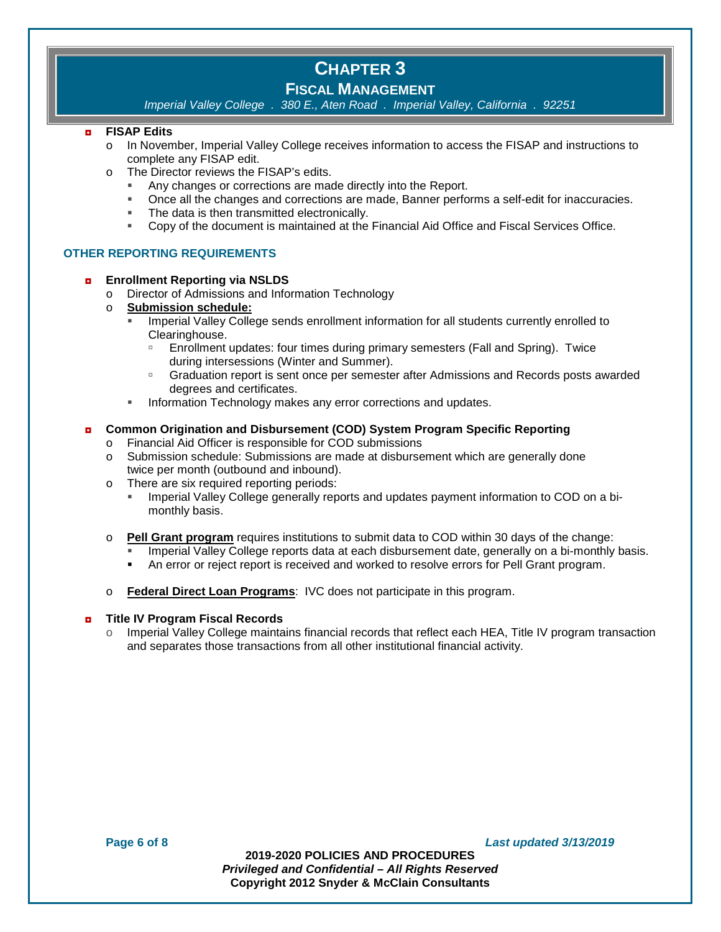### **FISCAL MANAGEMENT**

*Imperial Valley College . 380 E., Aten Road . Imperial Valley, California . 92251*

#### ◘ **FISAP Edits**

- o In November, Imperial Valley College receives information to access the FISAP and instructions to complete any FISAP edit.
- o The Director reviews the FISAP's edits.
	- Any changes or corrections are made directly into the Report.
	- Once all the changes and corrections are made, Banner performs a self-edit for inaccuracies.
	- **The data is then transmitted electronically.**
	- Copy of the document is maintained at the Financial Aid Office and Fiscal Services Office.

#### **OTHER REPORTING REQUIREMENTS**

#### ◘ **Enrollment Reporting via NSLDS**

- o Director of Admissions and Information Technology<br>o Submission schedule:
- **Submission schedule:** 
	- Imperial Valley College sends enrollment information for all students currently enrolled to Clearinghouse.
		- Enrollment updates: four times during primary semesters (Fall and Spring). Twice during intersessions (Winter and Summer).
		- □ Graduation report is sent once per semester after Admissions and Records posts awarded degrees and certificates.
	- Information Technology makes any error corrections and updates.

#### ◘ **Common Origination and Disbursement (COD) System Program Specific Reporting**

- o Financial Aid Officer is responsible for COD submissions
- o Submission schedule: Submissions are made at disbursement which are generally done twice per month (outbound and inbound).
- o There are six required reporting periods:
	- Imperial Valley College generally reports and updates payment information to COD on a bimonthly basis.
- o **Pell Grant program** requires institutions to submit data to COD within 30 days of the change:
	- Imperial Valley College reports data at each disbursement date, generally on a bi-monthly basis.
	- An error or reject report is received and worked to resolve errors for Pell Grant program.
- o **Federal Direct Loan Programs**: IVC does not participate in this program.

#### ◘ **Title IV Program Fiscal Records**

 $\circ$  Imperial Valley College maintains financial records that reflect each HEA, Title IV program transaction and separates those transactions from all other institutional financial activity.

**Page 6 of 8** *Last updated 3/13/2019*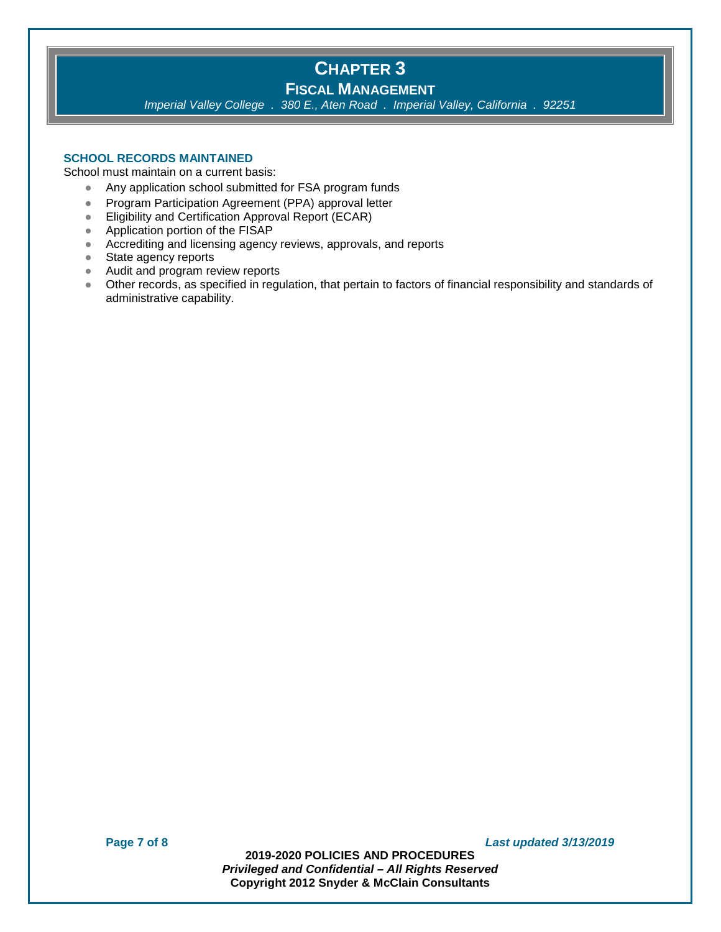## **CHAPTER 3 FISCAL MANAGEMENT**

*Imperial Valley College . 380 E., Aten Road . Imperial Valley, California . 92251*

#### **SCHOOL RECORDS MAINTAINED**

School must maintain on a current basis:

- Any application school submitted for FSA program funds
- Program Participation Agreement (PPA) approval letter
- Eligibility and Certification Approval Report (ECAR)
- Application portion of the FISAP
- Accrediting and licensing agency reviews, approvals, and reports
- State agency reports
- Audit and program review reports
- Other records, as specified in regulation, that pertain to factors of financial responsibility and standards of administrative capability.

**Page 7 of 8** *Last updated 3/13/2019*